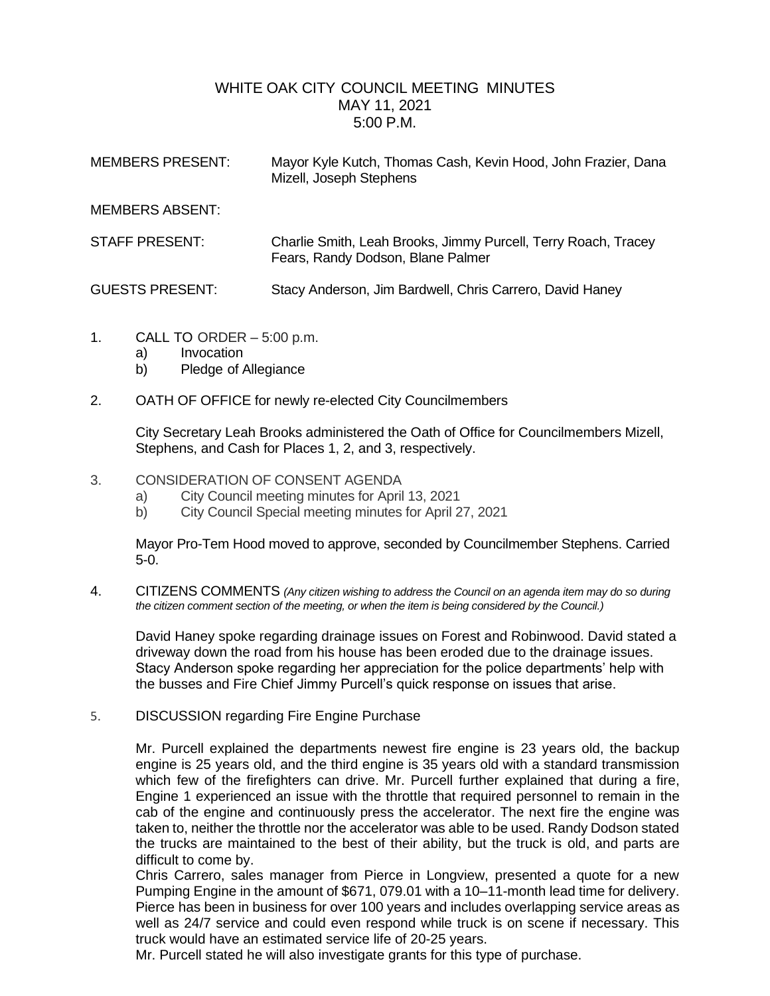## WHITE OAK CITY COUNCIL MEETING MINUTES MAY 11, 2021 5:00 P.M.

| <b>MEMBERS PRESENT:</b> | Mayor Kyle Kutch, Thomas Cash, Kevin Hood, John Frazier, Dana<br>Mizell, Joseph Stephens            |
|-------------------------|-----------------------------------------------------------------------------------------------------|
| <b>MEMBERS ABSENT:</b>  |                                                                                                     |
| <b>STAFF PRESENT:</b>   | Charlie Smith, Leah Brooks, Jimmy Purcell, Terry Roach, Tracey<br>Fears, Randy Dodson, Blane Palmer |
| <b>GUESTS PRESENT:</b>  | Stacy Anderson, Jim Bardwell, Chris Carrero, David Haney                                            |

- 1. CALL TO ORDER 5:00 p.m.
	- a) Invocation
	- b) Pledge of Allegiance
- 2. OATH OF OFFICE for newly re-elected City Councilmembers

City Secretary Leah Brooks administered the Oath of Office for Councilmembers Mizell, Stephens, and Cash for Places 1, 2, and 3, respectively.

- 3. CONSIDERATION OF CONSENT AGENDA
	- a) City Council meeting minutes for April 13, 2021
	- b) City Council Special meeting minutes for April 27, 2021

Mayor Pro-Tem Hood moved to approve, seconded by Councilmember Stephens. Carried 5-0.

4. CITIZENS COMMENTS *(Any citizen wishing to address the Council on an agenda item may do so during the citizen comment section of the meeting, or when the item is being considered by the Council.)*

David Haney spoke regarding drainage issues on Forest and Robinwood. David stated a driveway down the road from his house has been eroded due to the drainage issues. Stacy Anderson spoke regarding her appreciation for the police departments' help with the busses and Fire Chief Jimmy Purcell's quick response on issues that arise.

5. DISCUSSION regarding Fire Engine Purchase

Mr. Purcell explained the departments newest fire engine is 23 years old, the backup engine is 25 years old, and the third engine is 35 years old with a standard transmission which few of the firefighters can drive. Mr. Purcell further explained that during a fire, Engine 1 experienced an issue with the throttle that required personnel to remain in the cab of the engine and continuously press the accelerator. The next fire the engine was taken to, neither the throttle nor the accelerator was able to be used. Randy Dodson stated the trucks are maintained to the best of their ability, but the truck is old, and parts are difficult to come by.

Chris Carrero, sales manager from Pierce in Longview, presented a quote for a new Pumping Engine in the amount of \$671, 079.01 with a 10–11-month lead time for delivery. Pierce has been in business for over 100 years and includes overlapping service areas as well as 24/7 service and could even respond while truck is on scene if necessary. This truck would have an estimated service life of 20-25 years.

Mr. Purcell stated he will also investigate grants for this type of purchase.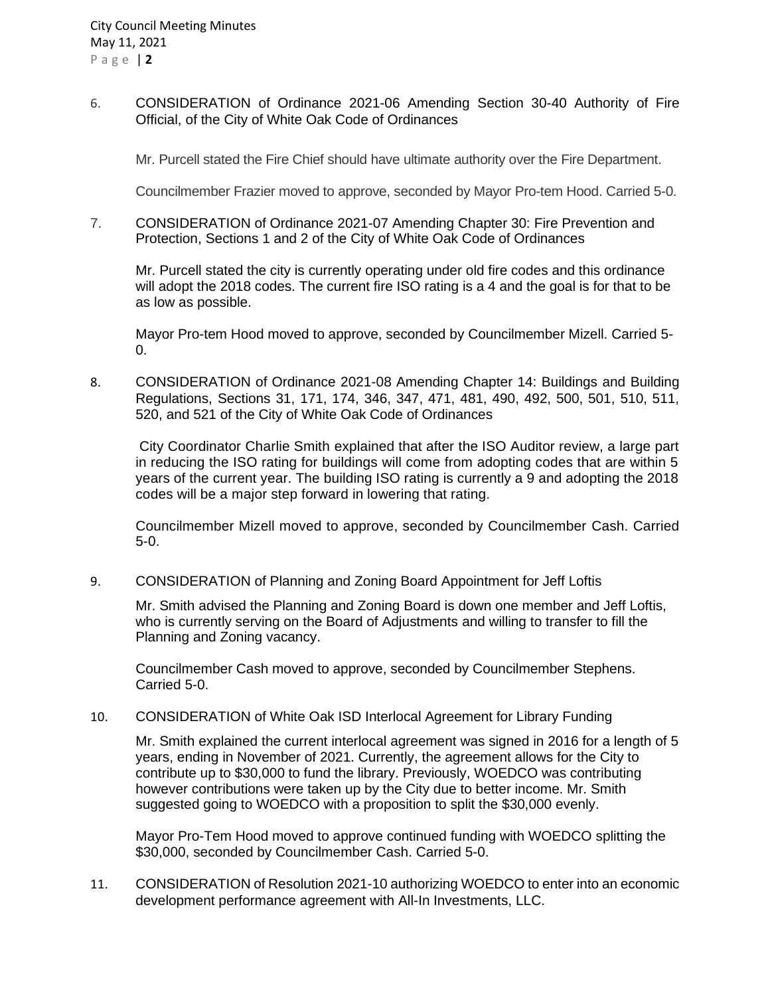6. CONSIDERATION of Ordinance 2021-06 Amending Section 30-40 Authority of Fire Official, of the City of White Oak Code of Ordinances

Mr. Purcell stated the Fire Chief should have ultimate authority over the Fire Department.

Councilmember Frazier moved to approve, seconded by Mayor Pro-tem Hood. Carried 5-0.

7. CONSIDERATION of Ordinance 2021-07 Amending Chapter 30: Fire Prevention and Protection, Sections 1 and 2 of the City of White Oak Code of Ordinances

Mr. Purcell stated the city is currently operating under old fire codes and this ordinance will adopt the 2018 codes. The current fire ISO rating is a 4 and the goal is for that to be as low as possible.

Mayor Pro-tem Hood moved to approve, seconded by Councilmember Mizell. Carried 5- 0.

8. CONSIDERATION of Ordinance 2021-08 Amending Chapter 14: Buildings and Building Regulations, Sections 31, 171, 174, 346, 347, 471, 481, 490, 492, 500, 501, 510, 511, 520, and 521 of the City of White Oak Code of Ordinances

City Coordinator Charlie Smith explained that after the ISO Auditor review, a large part in reducing the ISO rating for buildings will come from adopting codes that are within 5 years of the current year. The building ISO rating is currently a 9 and adopting the 2018 codes will be a major step forward in lowering that rating.

Councilmember Mizell moved to approve, seconded by Councilmember Cash. Carried 5-0.

9. CONSIDERATION of Planning and Zoning Board Appointment for Jeff Loftis

Mr. Smith advised the Planning and Zoning Board is down one member and Jeff Loftis, who is currently serving on the Board of Adjustments and willing to transfer to fill the Planning and Zoning vacancy.

Councilmember Cash moved to approve, seconded by Councilmember Stephens. Carried 5-0.

10. CONSIDERATION of White Oak ISD Interlocal Agreement for Library Funding

Mr. Smith explained the current interlocal agreement was signed in 2016 for a length of 5 years, ending in November of 2021. Currently, the agreement allows for the City to contribute up to \$30,000 to fund the library. Previously, WOEDCO was contributing however contributions were taken up by the City due to better income. Mr. Smith suggested going to WOEDCO with a proposition to split the \$30,000 evenly.

Mayor Pro-Tem Hood moved to approve continued funding with WOEDCO splitting the \$30,000, seconded by Councilmember Cash. Carried 5-0.

11. CONSIDERATION of Resolution 2021-10 authorizing WOEDCO to enter into an economic development performance agreement with All-In Investments, LLC.